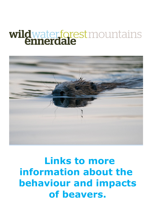# wildwaterforestmountains



## **Links to more information about the behaviour and impacts of beavers.**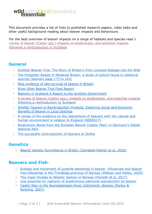### **wild** water forest mountains

This document provides a list of links to published research papers, video talks and other useful background reading about beaver impacts and behaviours.

For the best overview of beaver impacts on a range of habitats and species read [A](https://beavertrust.org/wp-content/uploads/2020/06/Stringer_et_al-2016-Mammal_Review.pdf) [review of beaver \(Castor spp.\) impacts on biodiversity, and potential](https://beavertrust.org/wp-content/uploads/2020/06/Stringer_et_al-2016-Mammal_Review.pdf) [impacts](https://beavertrust.org/wp-content/uploads/2020/06/Stringer_et_al-2016-Mammal_Review.pdf) [following a reintroduction to Scotland](https://beavertrust.org/wp-content/uploads/2020/06/Stringer_et_al-2016-Mammal_Review.pdf) 

#### **General**

- Scottish Beaver Trial. The Story of Britain's First Licensed Release into the Wild
- [The Forgotten Beasts in Medieval Britain: a study of extinct fauna in medieval](https://orca.cardiff.ac.uk/93165/1/Raye_Thesis_2016_ORCA.pdf) [sources](https://orca.cardiff.ac.uk/93165/1/Raye_Thesis_2016_ORCA.pdf) [\(beavers page 173 to](https://orca.cardiff.ac.uk/93165/1/Raye_Thesis_2016_ORCA.pdf) [242\)](https://orca.cardiff.ac.uk/93165/1/Raye_Thesis_2016_ORCA.pdf)
- New evidence of late survival of beaver in Britain
- [River Otter Beaver Trial Final Report](https://www.exeter.ac.uk/media/universityofexeter/research/microsites/creww/riverottertrial/ROBT__Science_and_Evidence_Report_2020_(ALL).pdf)
- [Beavers in Scotland](https://www.nature.scot/sites/default/files/Publication%202015%20-%20Beavers%20in%20Scotland%20A%20report%20to%20Scottish%20Government.pdf) [A Report to the Scottish Government](https://www.nature.scot/sites/default/files/Publication%202015%20-%20Beavers%20in%20Scotland%20A%20report%20to%20Scottish%20Government.pdf)
- [A review of beaver \(Castor spp.\) impacts on biodiversity, and potential](https://beavertrust.org/wp-content/uploads/2020/06/Stringer_et_al-2016-Mammal_Review.pdf) [impacts](https://beavertrust.org/wp-content/uploads/2020/06/Stringer_et_al-2016-Mammal_Review.pdf) [following a reintroduction to Scotland](https://beavertrust.org/wp-content/uploads/2020/06/Stringer_et_al-2016-Mammal_Review.pdf)
- [Wildlife Tourism in Reintroduction Projects: Exploring Social and Economic](https://ore.exeter.ac.uk/repository/bitstream/handle/10871/123472/Auster%2c%20Barr%20%26%20Brazier.%202020.%20WIldlife%20Tourism%20in%20Reintroduction%20Projects.pdf?sequence=1&isAllowed=y) [Benefits of Beaver in Local Settings](https://ore.exeter.ac.uk/repository/bitstream/handle/10871/123472/Auster%2c%20Barr%20%26%20Brazier.%202020.%20WIldlife%20Tourism%20in%20Reintroduction%20Projects.pdf?sequence=1&isAllowed=y)
- [A](http://nepubprod.appspot.com/file/5610152029061120) [review of the evidence on the interactions of beavers](http://nepubprod.appspot.com/file/5610152029061120) with the natural an[d](http://nepubprod.appspot.com/file/5610152029061120) [human environment in relation to England \(NEER017\)](http://nepubprod.appspot.com/file/5610152029061120)
- Biodiversity Boost f[rom the Eurasian Beaver \(Castor fiber\) in Germany's Oldest](https://www.frontiersin.org/articles/10.3389/fevo.2022.873307/full)  [National Park](https://www.frontiersin.org/articles/10.3389/fevo.2022.873307/full)
- The successful [reintroduction of beavers to Serbia](https://earth.org/the-successful-reintroduction-of-the-extinct-eurasian-beaver-in-serbia/)

#### **Genetics**

• [Beaver Genetic Surveillance](https://emea01.safelinks.protection.outlook.com/?url=https%3A%2F%2Fwww.sciencedirect.com%2Fscience%2Farticle%2Fpii%2FS2351989420308167&data=04%7C01%7C%7C5255e230eadc4b2a684a08d999eae9ae%7C84df9e7fe9f640afb435aaaaaaaaaaaa%7C1%7C0%7C637710056491043516%7CUnknown%7CTWFpbGZsb3d8eyJWIjoiMC4wLjAwMDAiLCJQIjoiV2luMzIiLCJBTiI6Ik1haWwiLCJXVCI6Mn0%3D%7C1000&sdata=bNXaQ6SuZCWMez7CQw7dWPCgnUVwtgENATxCV8ehet0%3D&reserved=0) [in Britain \(Campbell-Palmer et al, 2020\)](https://emea01.safelinks.protection.outlook.com/?url=https%3A%2F%2Fwww.sciencedirect.com%2Fscience%2Farticle%2Fpii%2FS2351989420308167&data=04%7C01%7C%7C5255e230eadc4b2a684a08d999eae9ae%7C84df9e7fe9f640afb435aaaaaaaaaaaa%7C1%7C0%7C637710056491043516%7CUnknown%7CTWFpbGZsb3d8eyJWIjoiMC4wLjAwMDAiLCJQIjoiV2luMzIiLCJBTiI6Ik1haWwiLCJXVCI6Mn0%3D%7C1000&sdata=bNXaQ6SuZCWMez7CQw7dWPCgnUVwtgENATxCV8ehet0%3D&reserved=0)

#### **Beavers and Fish:**

- [Ecology and movement of juvenile salmonids in beaver](https://emea01.safelinks.protection.outlook.com/?url=https%3A%2F%2Fonlinelibrary.wiley.com%2Fdoi%2Fabs%2F10.1111%2Feff.12539&data=04%7C01%7C%7C5255e230eadc4b2a684a08d999eae9ae%7C84df9e7fe9f640afb435aaaaaaaaaaaa%7C1%7C0%7C637710056491053472%7CUnknown%7CTWFpbGZsb3d8eyJWIjoiMC4wLjAwMDAiLCJQIjoiV2luMzIiLCJBTiI6Ik1haWwiLCJXVCI6Mn0%3D%7C1000&sdata=QdyGraHw8rlEmC3ImVRX4caYYNCMBbdzoHc02uIL1WU%3D&reserved=0) [-influenced and](https://emea01.safelinks.protection.outlook.com/?url=https%3A%2F%2Fonlinelibrary.wiley.com%2Fdoi%2Fabs%2F10.1111%2Feff.12539&data=04%7C01%7C%7C5255e230eadc4b2a684a08d999eae9ae%7C84df9e7fe9f640afb435aaaaaaaaaaaa%7C1%7C0%7C637710056491053472%7CUnknown%7CTWFpbGZsb3d8eyJWIjoiMC4wLjAwMDAiLCJQIjoiV2luMzIiLCJBTiI6Ik1haWwiLCJXVCI6Mn0%3D%7C1000&sdata=QdyGraHw8rlEmC3ImVRX4caYYNCMBbdzoHc02uIL1WU%3D&reserved=0) [beaver](https://emea01.safelinks.protection.outlook.com/?url=https%3A%2F%2Fonlinelibrary.wiley.com%2Fdoi%2Fabs%2F10.1111%2Feff.12539&data=04%7C01%7C%7C5255e230eadc4b2a684a08d999eae9ae%7C84df9e7fe9f640afb435aaaaaaaaaaaa%7C1%7C0%7C637710056491053472%7CUnknown%7CTWFpbGZsb3d8eyJWIjoiMC4wLjAwMDAiLCJQIjoiV2luMzIiLCJBTiI6Ik1haWwiLCJXVCI6Mn0%3D%7C1000&sdata=QdyGraHw8rlEmC3ImVRX4caYYNCMBbdzoHc02uIL1WU%3D&reserved=0) [free tributaries in the Trondelag province of Norway \(Malison and](https://emea01.safelinks.protection.outlook.com/?url=https%3A%2F%2Fonlinelibrary.wiley.com%2Fdoi%2Fabs%2F10.1111%2Feff.12539&data=04%7C01%7C%7C5255e230eadc4b2a684a08d999eae9ae%7C84df9e7fe9f640afb435aaaaaaaaaaaa%7C1%7C0%7C637710056491053472%7CUnknown%7CTWFpbGZsb3d8eyJWIjoiMC4wLjAwMDAiLCJQIjoiV2luMzIiLCJBTiI6Ik1haWwiLCJXVCI6Mn0%3D%7C1000&sdata=QdyGraHw8rlEmC3ImVRX4caYYNCMBbdzoHc02uIL1WU%3D&reserved=0) [Halley, 2020\)](https://emea01.safelinks.protection.outlook.com/?url=https%3A%2F%2Fonlinelibrary.wiley.com%2Fdoi%2Fabs%2F10.1111%2Feff.12539&data=04%7C01%7C%7C5255e230eadc4b2a684a08d999eae9ae%7C84df9e7fe9f640afb435aaaaaaaaaaaa%7C1%7C0%7C637710056491053472%7CUnknown%7CTWFpbGZsb3d8eyJWIjoiMC4wLjAwMDAiLCJQIjoiV2luMzIiLCJBTiI6Ik1haWwiLCJXVCI6Mn0%3D%7C1000&sdata=QdyGraHw8rlEmC3ImVRX4caYYNCMBbdzoHc02uIL1WU%3D&reserved=0)
- [The major threats to Atlantic Salmon in Norway \(Forseth et al, 2017\)](https://emea01.safelinks.protection.outlook.com/?url=https%3A%2F%2Facademic.oup.com%2Ficesjms%2Farticle%2F74%2F6%2F1496%2F3061737%3Flogin%3Dtrue&data=04%7C01%7C%7C5255e230eadc4b2a684a08d999eae9ae%7C84df9e7fe9f640afb435aaaaaaaaaaaa%7C1%7C0%7C637710056491053472%7CUnknown%7CTWFpbGZsb3d8eyJWIjoiMC4wLjAwMDAiLCJQIjoiV2luMzIiLCJBTiI6Ik1haWwiLCJXVCI6Mn0%3D%7C1000&sdata=P17MhvYJkUhx1tSoPx5BWhyUPvWZnkQSRyGtQPrE3cg%3D&reserved=0)
- [Low potential for restraint of anadromous salmonid reproduction by beaver](https://emea01.safelinks.protection.outlook.com/?url=https%3A%2F%2Fonlinelibrary.wiley.com%2Fdoi%2Fabs%2F10.1002%2Frra.1008&data=04%7C01%7C%7C5255e230eadc4b2a684a08d999eae9ae%7C84df9e7fe9f640afb435aaaaaaaaaaaa%7C1%7C0%7C637710056491063428%7CUnknown%7CTWFpbGZsb3d8eyJWIjoiMC4wLjAwMDAiLCJQIjoiV2luMzIiLCJBTiI6Ik1haWwiLCJXVCI6Mn0%3D%7C1000&sdata=0L1SVfktgJL8%2FZKfGGvKtNBnEBPzyF9C%2F2EWVauGT5c%3D&reserved=0)
- [Castor fiber in the Numedalslagen River Catchment, Norway \(Parker &](https://emea01.safelinks.protection.outlook.com/?url=https%3A%2F%2Fonlinelibrary.wiley.com%2Fdoi%2Fabs%2F10.1002%2Frra.1008&data=04%7C01%7C%7C5255e230eadc4b2a684a08d999eae9ae%7C84df9e7fe9f640afb435aaaaaaaaaaaa%7C1%7C0%7C637710056491063428%7CUnknown%7CTWFpbGZsb3d8eyJWIjoiMC4wLjAwMDAiLCJQIjoiV2luMzIiLCJBTiI6Ik1haWwiLCJXVCI6Mn0%3D%7C1000&sdata=0L1SVfktgJL8%2FZKfGGvKtNBnEBPzyF9C%2F2EWVauGT5c%3D&reserved=0) [Ronning,](https://emea01.safelinks.protection.outlook.com/?url=https%3A%2F%2Fonlinelibrary.wiley.com%2Fdoi%2Fabs%2F10.1002%2Frra.1008&data=04%7C01%7C%7C5255e230eadc4b2a684a08d999eae9ae%7C84df9e7fe9f640afb435aaaaaaaaaaaa%7C1%7C0%7C637710056491063428%7CUnknown%7CTWFpbGZsb3d8eyJWIjoiMC4wLjAwMDAiLCJQIjoiV2luMzIiLCJBTiI6Ik1haWwiLCJXVCI6Mn0%3D%7C1000&sdata=0L1SVfktgJL8%2FZKfGGvKtNBnEBPzyF9C%2F2EWVauGT5c%3D&reserved=0) [2007\)](https://emea01.safelinks.protection.outlook.com/?url=https%3A%2F%2Fonlinelibrary.wiley.com%2Fdoi%2Fabs%2F10.1002%2Frra.1008&data=04%7C01%7C%7C5255e230eadc4b2a684a08d999eae9ae%7C84df9e7fe9f640afb435aaaaaaaaaaaa%7C1%7C0%7C637710056491063428%7CUnknown%7CTWFpbGZsb3d8eyJWIjoiMC4wLjAwMDAiLCJQIjoiV2luMzIiLCJBTiI6Ik1haWwiLCJXVCI6Mn0%3D%7C1000&sdata=0L1SVfktgJL8%2FZKfGGvKtNBnEBPzyF9C%2F2EWVauGT5c%3D&reserved=0)